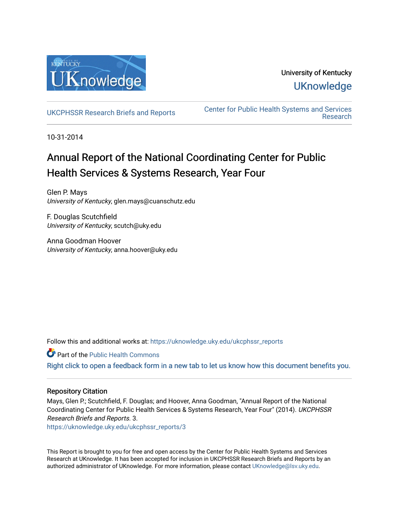

# University of Kentucky **UKnowledge**

[UKCPHSSR Research Briefs and Reports](https://uknowledge.uky.edu/ukcphssr_reports) [Center for Public Health Systems and Services](https://uknowledge.uky.edu/ukcphssr)  [Research](https://uknowledge.uky.edu/ukcphssr) 

10-31-2014

# Annual Report of the National Coordinating Center for Public Health Services & Systems Research, Year Four

Glen P. Mays University of Kentucky, glen.mays@cuanschutz.edu

F. Douglas Scutchfield University of Kentucky, scutch@uky.edu

Anna Goodman Hoover University of Kentucky, anna.hoover@uky.edu

Follow this and additional works at: [https://uknowledge.uky.edu/ukcphssr\\_reports](https://uknowledge.uky.edu/ukcphssr_reports?utm_source=uknowledge.uky.edu%2Fukcphssr_reports%2F3&utm_medium=PDF&utm_campaign=PDFCoverPages)

Part of the [Public Health Commons](http://network.bepress.com/hgg/discipline/738?utm_source=uknowledge.uky.edu%2Fukcphssr_reports%2F3&utm_medium=PDF&utm_campaign=PDFCoverPages) 

[Right click to open a feedback form in a new tab to let us know how this document benefits you.](https://uky.az1.qualtrics.com/jfe/form/SV_9mq8fx2GnONRfz7)

#### Repository Citation

Mays, Glen P.; Scutchfield, F. Douglas; and Hoover, Anna Goodman, "Annual Report of the National Coordinating Center for Public Health Services & Systems Research, Year Four" (2014). UKCPHSSR Research Briefs and Reports. 3.

[https://uknowledge.uky.edu/ukcphssr\\_reports/3](https://uknowledge.uky.edu/ukcphssr_reports/3?utm_source=uknowledge.uky.edu%2Fukcphssr_reports%2F3&utm_medium=PDF&utm_campaign=PDFCoverPages)

This Report is brought to you for free and open access by the Center for Public Health Systems and Services Research at UKnowledge. It has been accepted for inclusion in UKCPHSSR Research Briefs and Reports by an authorized administrator of UKnowledge. For more information, please contact [UKnowledge@lsv.uky.edu](mailto:UKnowledge@lsv.uky.edu).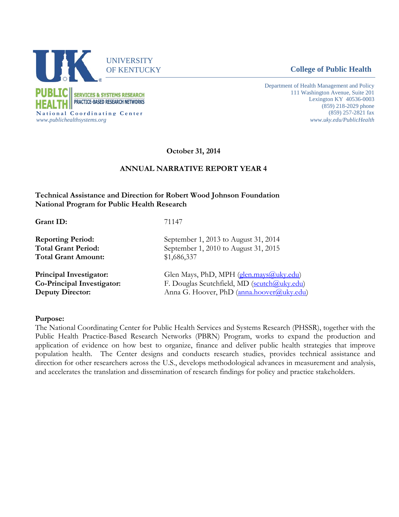

Department of Health Management and Policy 111 Washington Avenue, Suite 201 Lexington KY 40536-0003 (859) 218-2029 phone (859) 257-2821 fax *www.uky.edu/PublicHealth*

**October 31, 2014**

#### **ANNUAL NARRATIVE REPORT YEAR 4**

#### **Technical Assistance and Direction for Robert Wood Johnson Foundation National Program for Public Health Research**

**Grant ID:** 71147 **Reporting Period:** September 1, 2013 to August 31, 2014 **Total Grant Period:** September 1, 2010 to August 31, 2015 **Total Grant Amount:** \$1,686,337 **Principal Investigator:** Glen Mays, PhD, MPH (glen.mays(a) uky.edu) **Co-Principal Investigator:** F. Douglas Scutchfield, MD [\(scutch@uky.edu\)](mailto:scutch@uky.edu) **Deputy Director:** Anna G. Hoover, PhD [\(anna.hoover@uky.edu\)](mailto:anna.hoover@uky.edu)

#### **Purpose:**

The National Coordinating Center for Public Health Services and Systems Research (PHSSR), together with the Public Health Practice-Based Research Networks (PBRN) Program, works to expand the production and application of evidence on how best to organize, finance and deliver public health strategies that improve population health. The Center designs and conducts research studies, provides technical assistance and direction for other researchers across the U.S., develops methodological advances in measurement and analysis, and accelerates the translation and dissemination of research findings for policy and practice stakeholders.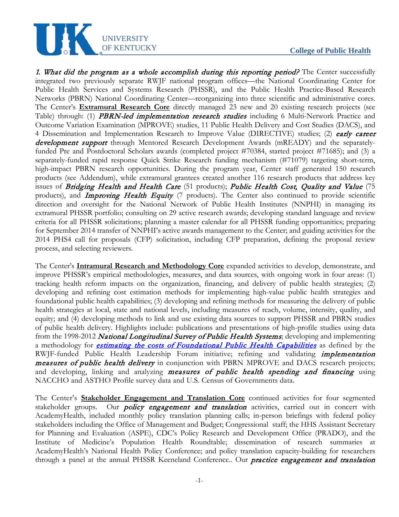

1. What did the program as a whole accomplish during this reporting period? The Center successfully integrated two previously separate RWJF national program offices—the National Coordinating Center for Public Health Services and Systems Research (PHSSR), and the Public Health Practice-Based Research Networks (PBRN) National Coordinating Center—reorganizing into three scientific and administrative cores. The Center's **Extramural Research Core** directly managed 23 new and 20 existing research projects (see Table) through: (1) **PBRN-led implementation research studies** including 6 Multi-Network Practice and Outcome Variation Examination (MPROVE) studies, 11 Public Health Delivery and Cost Studies (DACS), and 4 Dissemination and Implementation Research to Improve Value (DIRECTIVE) studies; (2) early career development support through Mentored Research Development Awards (mREADY) and the separatelyfunded Pre and Postdoctoral Scholars awards (completed project #70384, started project #71685); and (3) a separately-funded rapid response Quick Strike Research funding mechanism (#71079) targeting short-term, high-impact PBRN research opportunities. During the program year, Center staff generated 150 research products (see Addendum), while extramural grantees created another 116 research products that address key issues of Bridging Health and Health Care (51 products); Public Health Cost, Quality and Value (75 products), and *Improving Health Equity* (7 products). The Center also continued to provide scientific direction and oversight for the National Network of Public Health Institutes (NNPHI) in managing its extramural PHSSR portfolio; consulting on 29 active research awards; developing standard language and review criteria for all PHSSR solicitations; planning a master calendar for all PHSSR funding opportunities; preparing for September 2014 transfer of NNPHI's active awards management to the Center; and guiding activities for the 2014 PHS4 call for proposals (CFP) solicitation, including CFP preparation, defining the proposal review process, and selecting reviewers.

UNIVERSITY

The Center's **Intramural Research and Methodology Core** expanded activities to develop, demonstrate, and improve PHSSR's empirical methodologies, measures, and data sources, with ongoing work in four areas: (1) tracking health reform impacts on the organization, financing, and delivery of public health strategies; (2) developing and refining cost estimation methods for implementing high-value public health strategies and foundational public health capabilities; (3) developing and refining methods for measuring the delivery of public health strategies at local, state and national levels, including measures of reach, volume, intensity, quality, and equity; and (4) developing methods to link and use existing data sources to support PHSSR and PBRN studies of public health delivery. Highlights include: publications and presentations of high-profile studies using data from the 1998-2012 National Longitudinal Survey of Public Health Systems; developing and implementing a methodology for *[estimating the costs of Foundational Public Health Capabilities](http://works.bepress.com/glen_mays/128/)* as defined by the RWJF-funded Public Health Leadership Forum initiative; refining and validating *implementation* measures of public health delivery in conjunction with PBRN MPROVE and DACS research projects; and developing, linking and analyzing measures of public health spending and financing using NACCHO and ASTHO Profile survey data and U.S. Census of Governments data.

The Center's **Stakeholder Engagement and Translation Core** continued activities for four segmented stakeholder groups. Our *policy engagement and translation* activities, carried out in concert with AcademyHealth, included monthly policy translation planning calls; in-person briefings with federal policy stakeholders including the Office of Management and Budget; Congressional staff; the HHS Assistant Secretary for Planning and Evaluation (ASPE), CDC's Policy Research and Development Office (PRADO), and the Institute of Medicine's Population Health Roundtable; dissemination of research summaries at AcademyHealth's National Health Policy Conference; and policy translation capacity-building for researchers through a panel at the annual PHSSR Keeneland Conference.. Our *practice engagement and translation*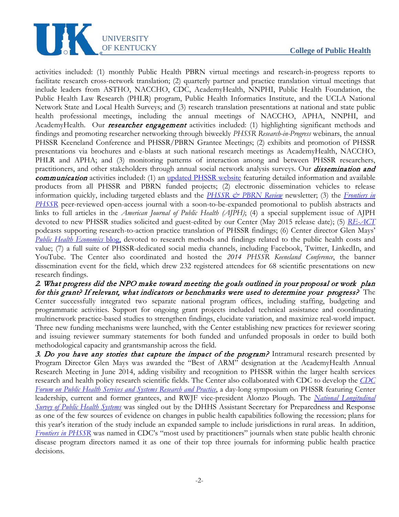

activities included: (1) monthly Public Health PBRN virtual meetings and research-in-progress reports to facilitate research cross-network translation; (2) quarterly partner and practice translation virtual meetings that include leaders from ASTHO, NACCHO, CDC, AcademyHealth, NNPHI, Public Health Foundation, the Public Health Law Research (PHLR) program, Public Health Informatics Institute, and the UCLA National Network State and Local Health Surveys; and (3) research translation presentations at national and state public health professional meetings, including the annual meetings of NACCHO, APHA, NNPHI, and AcademyHealth. Our **researcher engagement** activities included: (1) highlighting significant methods and findings and promoting researcher networking through biweekly *PHSSR Research-in-Progress* webinars, the annual PHSSR Keeneland Conference and PHSSR/PBRN Grantee Meetings; (2) exhibits and promotion of PHSSR presentations via brochures and e-blasts at such national research meetings as AcademyHealth, NACCHO, PHLR and APHA; and (3) monitoring patterns of interaction among and between PHSSR researchers, practitioners, and other stakeholders through annual social network analysis surveys. Our *dissemination and* **communication** activities included: (1) an [updated PHSSR website](http://www.uky.edu/publichealthsystems/) featuring detailed information and available products from all PHSSR and PBRN funded projects; (2) electronic dissemination vehicles to release information quickly, including targeted eblasts and the *[PHSSR & PBRN Review](http://www.uky.edu/publichealthsystems/dissemination/newsletters)* newsletter; (3) the *[Frontiers in](http://www.uky.edu/publichealthsystems/dissemination/frontiers)  [PHSSR](http://www.uky.edu/publichealthsystems/dissemination/frontiers)* peer-reviewed open-access journal with a soon-to-be-expanded promotional to publish abstracts and links to full articles in the *American Journal of Public Health (AJPH)*; (4) a special supplement issue of AJPH devoted to new PHSSR studies solicited and guest-edited by our Center (May 2015 release date); (5) *[RE-ACT](http://www.uky.edu/publichealthsystems/content/re-act-podcast-series)* podcasts supporting research-to-action practice translation of PHSSR findings; (6) Center director Glen Mays' *[Public Health Economics](http://publichealtheconomics.org/)* blog, devoted to research methods and findings related to the public health costs and value; (7) a full suite of PHSSR-dedicated social media channels, including Facebook, Twitter, LinkedIn, and YouTube. The Center also coordinated and hosted the *2014 PHSSR Keeneland Conference*, the banner dissemination event for the field, which drew 232 registered attendees for 68 scientific presentations on new research findings.

#### 2. What progress did the NPO make toward meeting the goals outlined in your proposal or work plan for this grant? If relevant, what indicators or benchmarks were used to determine your progress? The

Center successfully integrated two separate national program offices, including staffing, budgeting and programmatic activities. Support for ongoing grant projects included technical assistance and coordinating multinetwork practice-based studies to strengthen findings, elucidate variation, and maximize real-world impact. Three new funding mechanisms were launched, with the Center establishing new practices for reviewer scoring and issuing reviewer summary statements for both funded and unfunded proposals in order to build both methodological capacity and grantsmanship across the field.

3. Do you have any stories that capture the impact of the program? Intramural research presented by Program Director Glen Mays was awarded the "Best of ARM" designation at the AcademyHealth Annual Research Meeting in June 2014, adding visibility and recognition to PHSSR within the larger health services research and health policy research scientific fields. The Center also collaborated with CDC to develop the *[CDC](http://works.bepress.com/glen_mays/158/)  [Forum on Public Health Services and Systems Research and Practice](http://works.bepress.com/glen_mays/158/)*, a day-long symposium on PHSSR featuring Center leadership, current and former grantees, and RWJF vice-president Alonzo Plough. The *National [Longitudinal](http://works.bepress.com/glen_mays/33/)  Survey [of Public Health Systems](http://works.bepress.com/glen_mays/33/)* was singled out by the DHHS Assistant Secretary for Preparedness and Response as one of the few sources of evidence on changes in public health capabilities following the recession; plans for this year's iteration of the study include an expanded sample to include jurisdictions in rural areas. In addition, *[Frontiers in PHSSR](http://www.frontiersinphssr.org/)* was named in CDC's "most used by practitioners" journals when state public health chronic disease program directors named it as one of their top three journals for informing public health practice decisions.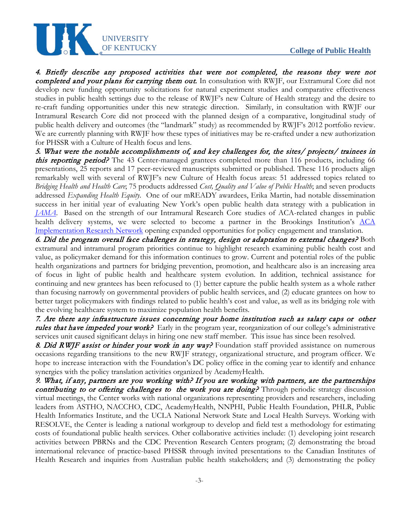# **College of Public Health**



4. Briefly describe any proposed activities that were not completed, the reasons they were not completed and your plans for carrying them out. In consultation with RWJF, our Extramural Core did not develop new funding opportunity solicitations for natural experiment studies and comparative effectiveness studies in public health settings due to the release of RWJF's new Culture of Health strategy and the desire to re-craft funding opportunities under this new strategic direction. Similarly, in consultation with RWJF our Intramural Research Core did not proceed with the planned design of a comparative, longitudinal study of public health delivery and outcomes (the "landmark" study) as recommended by RWJF's 2012 portfolio review. We are currently planning with RWJF how these types of initiatives may be re-crafted under a new authorization for PHSSR with a Culture of Health focus and lens.

5. What were the notable accomplishments of, and key challenges for, the sites/ projects/ trainees in **this reporting period?** The 43 Center-managed grantees completed more than 116 products, including 66 presentations, 25 reports and 17 peer-reviewed manuscripts submitted or published. These 116 products align remarkably well with several of RWJF's new Culture of Health focus areas: 51 addressed topics related to *Bridging Health and Health Care*; 75 products addressed *Cost, Quality and Value of Public Health*; and seven products addressed *Expanding Health Equity*. One of our mREADY awardees, Erika Martin, had notable dissemination success in her initial year of evaluating New York's open public health data strategy with a publication in *[JAMA](http://jama.jamanetwork.com/article.aspx?articleid=1883027)*. Based on the strength of our Intramural Research Core studies of ACA-related changes in public health delivery systems, we were selected to become a partner in the Brookings Institution's ACA [Implementation Research Network](http://publichealtheconomics.org/2014/10/25/learning-from-variation-in-aca-implementation/) opening expanded opportunities for policy engagement and translation.

6. Did the program overall face challenges in strategy, design or adaptation to external changes? Both extramural and intramural program priorities continue to highlight research examining public health cost and value, as policymaker demand for this information continues to grow. Current and potential roles of the public health organizations and partners for bridging prevention, promotion, and healthcare also is an increasing area of focus in light of public health and healthcare system evolution. In addition, technical assistance for continuing and new grantees has been refocused to (1) better capture the public health system as a whole rather than focusing narrowly on governmental providers of public health services, and (2) educate grantees on how to better target policymakers with findings related to public health's cost and value, as well as its bridging role with the evolving healthcare system to maximize population health benefits.

7. Are there any infrastructure issues concerning your home institution such as salary caps or other rules that have impeded your work? Early in the program year, reorganization of our college's administrative services unit caused significant delays in hiring one new staff member. This issue has since been resolved.

8. Did RWJF assist or hinder your work in any way? Foundation staff provided assistance on numerous occasions regarding transitions to the new RWJF strategy, organizational structure, and program officer. We hope to increase interaction with the Foundation's DC policy office in the coming year to identify and enhance synergies with the policy translation activities organized by AcademyHealth.

9. What, if any, partners are you working with? If you are working with partners, are the partnerships contributing to or offering challenges to the work you are doing? Through periodic strategy discussion virtual meetings, the Center works with national organizations representing providers and researchers, including leaders from ASTHO, NACCHO, CDC, AcademyHealth, NNPHI, Public Health Foundation, PHLR, Public Health Informatics Institute, and the UCLA National Network State and Local Health Surveys. Working with RESOLVE, the Center is leading a national workgroup to develop and field test a methodology for estimating costs of foundational public health services. Other collaborative activities include: (1) developing joint research activities between PBRNs and the CDC Prevention Research Centers program; (2) demonstrating the broad international relevance of practice-based PHSSR through invited presentations to the Canadian Institutes of Health Research and inquiries from Australian public health stakeholders; and (3) demonstrating the policy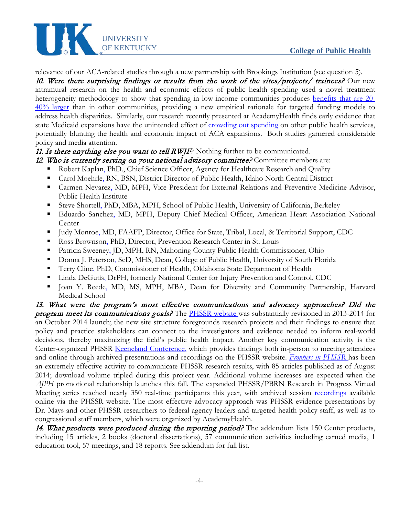

relevance of our ACA-related studies through a new partnership with Brookings Institution (see question 5). 10. Were there surprising findings or results from the work of the sites/projects/ trainees? Our new intramural research on the health and economic effects of public health spending used a novel treatment heterogeneity methodology to show that spending in low-income communities produces <u>benefits that are 20-</u> [40% larger](http://works.bepress.com/glen_mays/119/) than in other communities, providing a new empirical rationale for targeted funding models to address health disparities. Similarly, our research recently presented at AcademyHealth finds early evidence that state Medicaid expansions have the unintended effect of [crowding out spending](http://works.bepress.com/glen_mays/161/) on other public health services, potentially blunting the health and economic impact of ACA expansions. Both studies garnered considerable policy and media attention.

# 11. Is there anything else you want to tell  $RWTF$ ? Nothing further to be communicated.

- 12. Who is currently serving on your national advisory committee? Committee members are:
	- Robert Kaplan, PhD., Chief Science Officer, Agency for Healthcare Research and Quality
	- Carol Moehrle, RN, BSN, District Director of Public Health, Idaho North Central District
	- Carmen Nevarez, MD, MPH, Vice President for External Relations and Preventive Medicine Advisor, Public Health Institute
	- Steve Shortell, PhD, MBA, MPH, School of Public Health, University of California, Berkeley
	- Eduardo Sanchez, MD, MPH, Deputy Chief Medical Officer, American Heart Association National Center
	- Judy Monroe, MD, FAAFP, Director, Office for State, Tribal, Local, & Territorial Support, CDC
	- Ross Brownson, PhD, Director, Prevention Research Center in St. Louis
	- Patricia Sweeney, JD, MPH, RN, Mahoning County Public Health Commissioner, Ohio
	- Donna J. Peterson, ScD, MHS, Dean, College of Public Health, University of South Florida
	- Terry Cline, PhD, Commissioner of Health, Oklahoma State Department of Health
	- Linda DeGutis, DrPH, formerly National Center for Injury Prevention and Control, CDC
	- Joan Y. Reede, MD, MS, MPH, MBA, Dean for Diversity and Community Partnership, Harvard Medical School

13. What were the program's most effective communications and advocacy approaches? Did the **program meet its communications goals?** The **PHSSR** website was substantially revisioned in 2013-2014 for an October 2014 launch; the new site structure foregrounds research projects and their findings to ensure that policy and practice stakeholders can connect to the investigators and evidence needed to inform real-world decisions, thereby maximizing the field's public health impact. Another key communication activity is the Center-organized PHSSR [Keeneland Conference,](http://www.uky.edu/publichealthsystems/dissemination/annual-phssr-keeneland-conference) which provides findings both in-person to meeting attendees and online through archived presentations and recordings on the PHSSR website. *[Frontiers in PHSSR](http://www.uky.edu/publichealthsystems/dissemination/frontiers)* has been an extremely effective activity to communicate PHSSR research results, with 85 articles published as of August 2014; download volume tripled during this project year. Additional volume increases are expected when the *AJPH* promotional relationship launches this fall. The expanded PHSSR/PBRN Research in Progress Virtual Meeting series reached nearly 350 real-time participants this year, with archived session [recordings](http://www.uky.edu/publichealthsystems/research-progress-webinars) available online via the PHSSR website. The most effective advocacy approach was PHSSR evidence presentations by Dr. Mays and other PHSSR researchers to federal agency leaders and targeted health policy staff, as well as to congressional staff members, which were organized by AcademyHealth.

14. What products were produced during the reporting period? The addendum lists 150 Center products, including 15 articles, 2 books (doctoral dissertations), 57 communication activities including earned media, 1 education tool, 57 meetings, and 18 reports. See addendum for full list.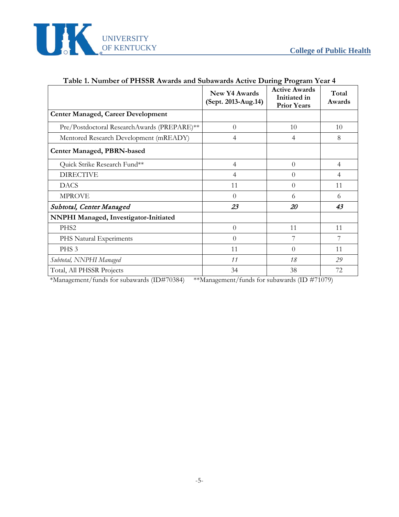

|                                             | <b>New Y4 Awards</b><br>(Sept. 2013-Aug.14) | o<br>o<br><b>Active Awards</b><br>Initiated in<br><b>Prior Years</b> | Total<br>Awards |
|---------------------------------------------|---------------------------------------------|----------------------------------------------------------------------|-----------------|
| <b>Center Managed, Career Development</b>   |                                             |                                                                      |                 |
| Pre/Postdoctoral ResearchAwards (PREPARE)** | $\theta$                                    | 10                                                                   | 10              |
| Mentored Research Development (mREADY)      | 4                                           | 4                                                                    | 8               |
| <b>Center Managed, PBRN-based</b>           |                                             |                                                                      |                 |
| Quick Strike Research Fund**                | $\overline{4}$                              | $\theta$                                                             | 4               |
| <b>DIRECTIVE</b>                            | 4                                           | $\Omega$                                                             | 4               |
| <b>DACS</b>                                 | 11                                          | $\theta$                                                             | 11              |
| <b>MPROVE</b>                               | $\theta$                                    | 6                                                                    | 6               |
| Subtotal, Center Managed                    | 23                                          | 20                                                                   | 43              |
| NNPHI Managed, Investigator-Initiated       |                                             |                                                                      |                 |
| PHS <sub>2</sub>                            | $\theta$                                    | 11                                                                   | 11              |
| PHS Natural Experiments                     | $\Omega$                                    | 7                                                                    | 7               |
| PHS <sub>3</sub>                            | 11                                          | $\theta$                                                             | 11              |
| Subtotal, NNPHI Managed                     | 11                                          | 18                                                                   | 29              |
| Total, All PHSSR Projects                   | 34                                          | 38                                                                   | 72              |

# **Table 1. Number of PHSSR Awards and Subawards Active During Program Year 4**

\*Management/funds for subawards (ID#70384) \*\*Management/funds for subawards (ID #71079)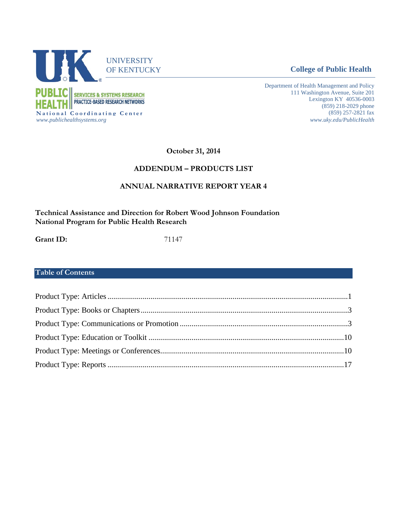

**College of Public Health** 

Department of Health Management and Policy 111 Washington Avenue, Suite 201 Lexington KY 40536-0003 (859) 218-2029 phone (859) 257-2821 fax *www.uky.edu/PublicHealth*

**October 31, 2014**

#### **ADDENDUM – PRODUCTS LIST**

# **ANNUAL NARRATIVE REPORT YEAR 4**

**Technical Assistance and Direction for Robert Wood Johnson Foundation National Program for Public Health Research**

**Grant ID:** 71147

# **Table of Contents**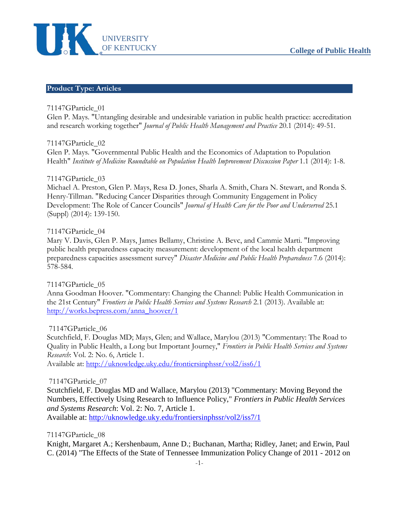

#### <span id="page-8-0"></span>**Product Type: Articles**

#### 71147GParticle\_01

Glen P. Mays. "Untangling desirable and undesirable variation in public health practice: accreditation and research working together" *Journal of Public Health Management and Practice* 20.1 (2014): 49-51.

#### 71147GParticle\_02

Glen P. Mays. "Governmental Public Health and the Economics of Adaptation to Population Health" *Institute of Medicine Roundtable on Population Health Improvement Discussion Paper* 1.1 (2014): 1-8.

#### 71147GParticle\_03

Michael A. Preston, Glen P. Mays, Resa D. Jones, Sharla A. Smith, Chara N. Stewart, and Ronda S. Henry-Tillman. "Reducing Cancer Disparities through Community Engagement in Policy Development: The Role of Cancer Councils" *Journal of Health Care for the Poor and Underserved* 25.1 (Suppl) (2014): 139-150.

#### 71147GParticle\_04

Mary V. Davis, Glen P. Mays, James Bellamy, Christine A. Bevc, and Cammie Marti. "Improving public health preparedness capacity measurement: development of the local health department preparedness capacities assessment survey" *Disaster Medicine and Public Health Preparedness* 7.6 (2014): 578-584.

#### 71147GParticle\_05

Anna Goodman Hoover. "Commentary: Changing the Channel: Public Health Communication in the 21st Century" *Frontiers in Public Health Services and Systems Research* 2.1 (2013). Available at: [http://works.bepress.com/anna\\_hoover/1](http://works.bepress.com/anna_hoover/1)

#### 71147GParticle\_06

Scutchfield, F. Douglas MD; Mays, Glen; and Wallace, Marylou (2013) "Commentary: The Road to Quality in Public Health, a Long but Important Journey," *Frontiers in Public Health Services and Systems Research*: Vol. 2: No. 6, Article 1.

Available at:<http://uknowledge.uky.edu/frontiersinphssr/vol2/iss6/1>

#### 71147GParticle\_07

Scutchfield, F. Douglas MD and Wallace, Marylou (2013) "Commentary: Moving Beyond the Numbers, Effectively Using Research to Influence Policy," *Frontiers in Public Health Services and Systems Research*: Vol. 2: No. 7, Article 1.

Available at:<http://uknowledge.uky.edu/frontiersinphssr/vol2/iss7/1>

#### 71147GParticle\_08

Knight, Margaret A.; Kershenbaum, Anne D.; Buchanan, Martha; Ridley, Janet; and Erwin, Paul C. (2014) "The Effects of the State of Tennessee Immunization Policy Change of 2011 - 2012 on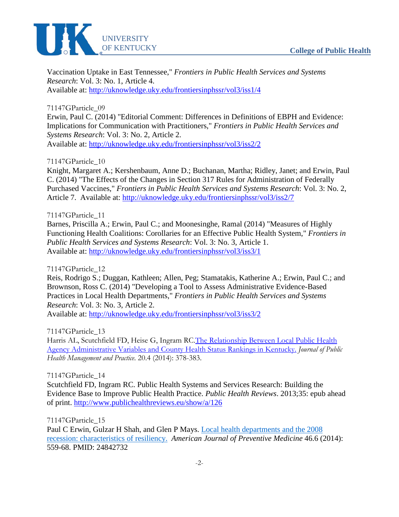

Vaccination Uptake in East Tennessee," *Frontiers in Public Health Services and Systems Research*: Vol. 3: No. 1, Article 4. Available at:<http://uknowledge.uky.edu/frontiersinphssr/vol3/iss1/4>

71147GParticle\_09

Erwin, Paul C. (2014) "Editorial Comment: Differences in Definitions of EBPH and Evidence: Implications for Communication with Practitioners," *Frontiers in Public Health Services and Systems Research*: Vol. 3: No. 2, Article 2. Available at: <http://uknowledge.uky.edu/frontiersinphssr/vol3/iss2/2>

71147GParticle\_10

Knight, Margaret A.; Kershenbaum, Anne D.; Buchanan, Martha; Ridley, Janet; and Erwin, Paul C. (2014) "The Effects of the Changes in Section 317 Rules for Administration of Federally Purchased Vaccines," *Frontiers in Public Health Services and Systems Research*: Vol. 3: No. 2, Article 7. Available at:<http://uknowledge.uky.edu/frontiersinphssr/vol3/iss2/7>

71147GParticle\_11

Barnes, Priscilla A.; Erwin, Paul C.; and Moonesinghe, Ramal (2014) "Measures of Highly Functioning Health Coalitions: Corollaries for an Effective Public Health System," *Frontiers in Public Health Services and Systems Research*: Vol. 3: No. 3, Article 1. Available at:<http://uknowledge.uky.edu/frontiersinphssr/vol3/iss3/1>

71147GParticle\_12

Reis, Rodrigo S.; Duggan, Kathleen; Allen, Peg; Stamatakis, Katherine A.; Erwin, Paul C.; and Brownson, Ross C. (2014) "Developing a Tool to Assess Administrative Evidence-Based Practices in Local Health Departments," *Frontiers in Public Health Services and Systems Research*: Vol. 3: No. 3, Article 2.

Available at:<http://uknowledge.uky.edu/frontiersinphssr/vol3/iss3/2>

71147GParticle\_13

Harris AL, Scutchfield FD, Heise G, Ingram R[C.The Relationship Between Local Public Health](http://www.ncbi.nlm.nih.gov/pubmed/24435012)  [Agency Administrative Variables and County Health Status Rankings in Kentucky.](http://www.ncbi.nlm.nih.gov/pubmed/24435012) *Journal of Public Health Management and Practice*. 20.4 (2014): 378-383.

71147GParticle\_14

Scutchfield FD, Ingram RC. Public Health Systems and Services Research: Building the Evidence Base to Improve Public Health Practice. *Public Health Reviews*. 2013;35: epub ahead of print.<http://www.publichealthreviews.eu/show/a/126>

71147GParticle\_15

Paul C Erwin, Gulzar H Shah, and Glen P Mays. [Local health departments and the 2008](http://www.ncbi.nlm.nih.gov/pubmed/24842732)  [recession: characteristics of resiliency.](http://www.ncbi.nlm.nih.gov/pubmed/24842732) *American Journal of Preventive Medicine* 46.6 (2014): 559-68. PMID: 24842732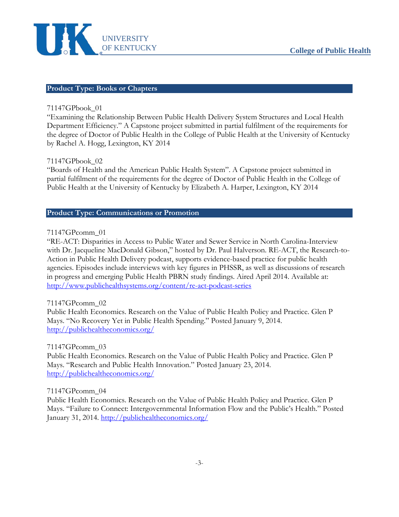

#### <span id="page-10-0"></span>**Product Type: Books or Chapters**

#### 71147GPbook\_01

"Examining the Relationship Between Public Health Delivery System Structures and Local Health Department Efficiency." A Capstone project submitted in partial fulfilment of the requirements for the degree of Doctor of Public Health in the College of Public Health at the University of Kentucky by Rachel A. Hogg, Lexington, KY 2014

#### 71147GPbook\_02

"Boards of Health and the American Public Health System". A Capstone project submitted in partial fulfilment of the requirements for the degree of Doctor of Public Health in the College of Public Health at the University of Kentucky by Elizabeth A. Harper, Lexington, KY 2014

# <span id="page-10-1"></span>**Product Type: Communications or Promotion**

#### 71147GPcomm\_01

"RE-ACT: Disparities in Access to Public Water and Sewer Service in North Carolina-Interview with Dr. Jacqueline MacDonald Gibson," hosted by Dr. Paul Halverson. RE-ACT, the Research-to-Action in Public Health Delivery podcast, supports evidence-based practice for public health agencies. Episodes include interviews with key figures in PHSSR, as well as discussions of research in progress and emerging Public Health PBRN study findings. Aired April 2014. Available at: <http://www.publichealthsystems.org/content/re-act-podcast-series>

#### 71147GPcomm\_02

Public Health Economics. Research on the Value of Public Health Policy and Practice. Glen P Mays. "No Recovery Yet in Public Health Spending." Posted January 9, 2014. <http://publichealtheconomics.org/>

#### 71147GPcomm\_03

Public Health Economics. Research on the Value of Public Health Policy and Practice. Glen P Mays. "Research and Public Health Innovation." Posted January 23, 2014. <http://publichealtheconomics.org/>

#### 71147GPcomm\_04

Public Health Economics. Research on the Value of Public Health Policy and Practice. Glen P Mays. "Failure to Connect: Intergovernmental Information Flow and the Public's Health." Posted January 31, 2014.<http://publichealtheconomics.org/>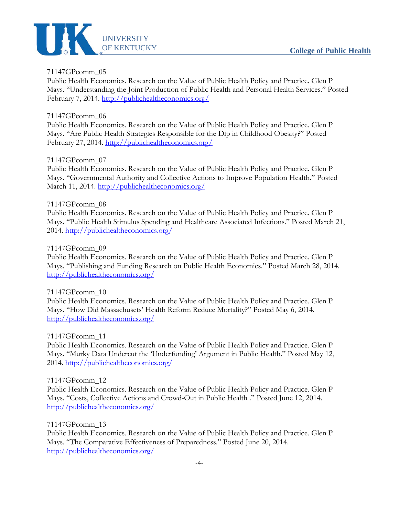

# 71147GPcomm\_05

Public Health Economics. Research on the Value of Public Health Policy and Practice. Glen P Mays. "Understanding the Joint Production of Public Health and Personal Health Services." Posted February 7, 2014.<http://publichealtheconomics.org/>

# 71147GPcomm\_06

Public Health Economics. Research on the Value of Public Health Policy and Practice. Glen P Mays. "Are Public Health Strategies Responsible for the Dip in Childhood Obesity?" Posted February 27, 2014.<http://publichealtheconomics.org/>

# 71147GPcomm\_07

Public Health Economics. Research on the Value of Public Health Policy and Practice. Glen P Mays. "Governmental Authority and Collective Actions to Improve Population Health." Posted March 11, 2014.<http://publichealtheconomics.org/>

# 71147GPcomm\_08

Public Health Economics. Research on the Value of Public Health Policy and Practice. Glen P Mays. "Public Health Stimulus Spending and Healthcare Associated Infections." Posted March 21, 2014.<http://publichealtheconomics.org/>

#### 71147GPcomm\_09

Public Health Economics. Research on the Value of Public Health Policy and Practice. Glen P Mays. "Publishing and Funding Research on Public Health Economics." Posted March 28, 2014. <http://publichealtheconomics.org/>

#### 71147GPcomm\_10

Public Health Economics. Research on the Value of Public Health Policy and Practice. Glen P Mays. "How Did Massachusets' Health Reform Reduce Mortality?" Posted May 6, 2014. <http://publichealtheconomics.org/>

#### 71147GPcomm\_11

Public Health Economics. Research on the Value of Public Health Policy and Practice. Glen P Mays. "Murky Data Undercut the 'Underfunding' Argument in Public Health." Posted May 12, 2014.<http://publichealtheconomics.org/>

#### 71147GPcomm\_12

Public Health Economics. Research on the Value of Public Health Policy and Practice. Glen P Mays. "Costs, Collective Actions and Crowd-Out in Public Health ." Posted June 12, 2014. <http://publichealtheconomics.org/>

#### 71147GPcomm\_13

Public Health Economics. Research on the Value of Public Health Policy and Practice. Glen P Mays. "The Comparative Effectiveness of Preparedness." Posted June 20, 2014. <http://publichealtheconomics.org/>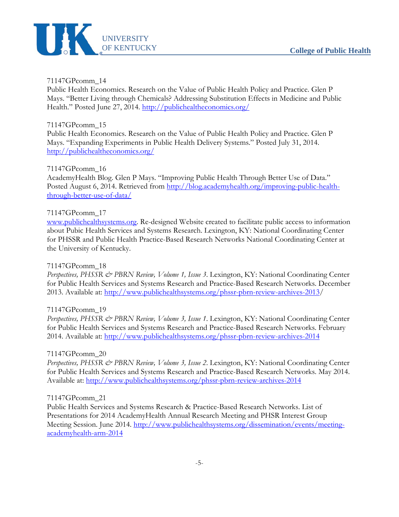

#### 71147GPcomm\_14

Public Health Economics. Research on the Value of Public Health Policy and Practice. Glen P Mays. "Better Living through Chemicals? Addressing Substitution Effects in Medicine and Public Health." Posted June 27, 2014.<http://publichealtheconomics.org/>

#### 71147GPcomm\_15

Public Health Economics. Research on the Value of Public Health Policy and Practice. Glen P Mays. "Expanding Experiments in Public Health Delivery Systems." Posted July 31, 2014. <http://publichealtheconomics.org/>

#### 71147GPcomm\_16

AcademyHealth Blog. Glen P Mays. "Improving Public Health Through Better Use of Data." Posted August 6, 2014. Retrieved from [http://blog.academyhealth.org/improving-public-health](http://blog.academyhealth.org/improving-public-health-through-better-use-of-data/)[through-better-use-of-data/](http://blog.academyhealth.org/improving-public-health-through-better-use-of-data/)

#### 71147GPcomm\_17

[www.publichealthsystems.org.](http://www.publichealthsystems.org/) Re-designed Website created to facilitate public access to information about Pubic Health Services and Systems Research. Lexington, KY: National Coordinating Center for PHSSR and Public Health Practice-Based Research Networks National Coordinating Center at the University of Kentucky.

#### 71147GPcomm\_18

*Perspectives, PHSSR & PBRN Review, Volume 1, Issue 3*. Lexington, KY: National Coordinating Center for Public Health Services and Systems Research and Practice-Based Research Networks. December 2013. Available at: [http://www.publichealthsystems.org/phssr-pbrn-review-archives-2013/](http://www.publichealthsystems.org/phssr-pbrn-review-archives-2013)

#### 71147GPcomm\_19

*Perspectives, PHSSR & PBRN Review, Volume 3, Issue 1*. Lexington, KY: National Coordinating Center for Public Health Services and Systems Research and Practice-Based Research Networks. February 2014. Available at:<http://www.publichealthsystems.org/phssr-pbrn-review-archives-2014>

#### 71147GPcomm\_20

*Perspectives, PHSSR & PBRN Review, Volume 3, Issue 2*. Lexington, KY: National Coordinating Center for Public Health Services and Systems Research and Practice-Based Research Networks. May 2014. Available at:<http://www.publichealthsystems.org/phssr-pbrn-review-archives-2014>

#### 71147GPcomm\_21

Public Health Services and Systems Research & Practice-Based Research Networks. List of Presentations for 2014 AcademyHealth Annual Research Meeting and PHSR Interest Group Meeting Session. June 2014. [http://www.publichealthsystems.org/dissemination/events/meeting](http://www.publichealthsystems.org/dissemination/events/meeting-academyhealth-arm-2014)[academyhealth-arm-2014](http://www.publichealthsystems.org/dissemination/events/meeting-academyhealth-arm-2014)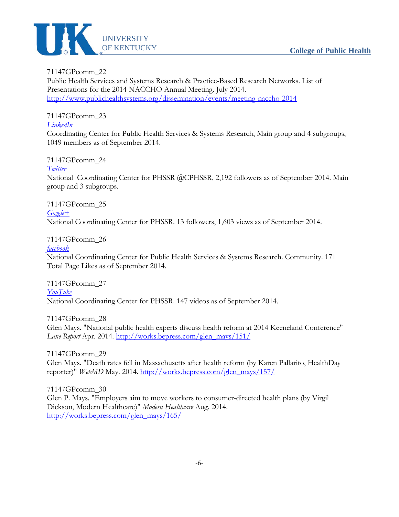

71147GPcomm\_22 Public Health Services and Systems Research & Practice-Based Research Networks. List of Presentations for the 2014 NACCHO Annual Meeting. July 2014. <http://www.publichealthsystems.org/dissemination/events/meeting-naccho-2014>

*[LinkedIn](http://www.linkedin.com/groups/Coordinating-Center-Public-Health-Services-2938786?itemaction=mclk&anetid=2938786&impid=&pgkey=anet_search_results&actpref=anetsrch_name&trk=anetsrch_name&goback=.gdr_1329421349117_1)* Coordinating Center for Public Health Services & Systems Research, Main group and 4 subgroups, 1049 members as of September 2014.

71147GPcomm\_24 *[Twitter](https://twitter.com/cphssr)* National Coordinating Center for PHSSR @CPHSSR, 2,192 followers as of September 2014. Main group and 3 subgroups.

71147GPcomm\_25 *[Goggle+](https://plus.google.com/103750288935469388754%23103750288935469388754/posts)* National Coordinating Center for PHSSR. 13 followers, 1,603 views as of September 2014.

71147GPcomm\_26

71147GPcomm\_23

*[facebook](https://www.facebook.com/NCCforPHSSR)*

National Coordinating Center for Public Health Services & Systems Research. Community. 171 Total Page Likes as of September 2014.

71147GPcomm\_27 *[YouTube](http://www.youtube.com/user/TheCenterForPHSSR)* National Coordinating Center for PHSSR. 147 videos as of September 2014.

71147GPcomm\_28

Glen Mays. "National public health experts discuss health reform at 2014 Keeneland Conference" *Lane Report* Apr. 2014. [http://works.bepress.com/glen\\_mays/151/](http://works.bepress.com/glen_mays/151/)

71147GPcomm\_29 Glen Mays. "Death rates fell in Massachusetts after health reform (by Karen Pallarito, HealthDay reporter)" *WebMD* May. 2014. [http://works.bepress.com/glen\\_mays/157/](http://works.bepress.com/glen_mays/157/)

71147GPcomm\_30 Glen P. Mays. "Employers aim to move workers to consumer-directed health plans (by Virgil Dickson, Modern Healthcare)" *Modern Healthcare* Aug. 2014. [http://works.bepress.com/glen\\_mays/165/](http://works.bepress.com/glen_mays/165/)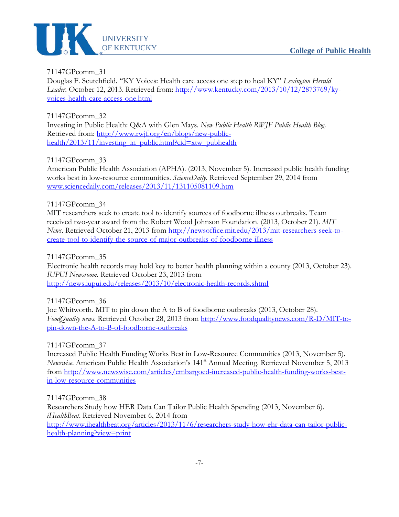

71147GPcomm\_31 Douglas F. Scutchfield. "KY Voices: Health care access one step to heal KY" *Lexington Herald Leader.* October 12, 2013. Retrieved from: [http://www.kentucky.com/2013/10/12/2873769/ky](http://www.kentucky.com/2013/10/12/2873769/ky-voices-health-care-access-one.html)[voices-health-care-access-one.html](http://www.kentucky.com/2013/10/12/2873769/ky-voices-health-care-access-one.html)

71147GPcomm\_32 Investing in Public Health: Q&A with Glen Mays. *New Public Health RWJF Public Health Blog*. Retrieved from: [http://www.rwjf.org/en/blogs/new-public](http://www.rwjf.org/en/blogs/new-public-health/2013/11/investing_in_public.html?cid=xtw_pubhealth)[health/2013/11/investing\\_in\\_public.html?cid=xtw\\_pubhealth](http://www.rwjf.org/en/blogs/new-public-health/2013/11/investing_in_public.html?cid=xtw_pubhealth)

71147GPcomm\_33

American Public Health Association (APHA). (2013, November 5). Increased public health funding works best in low-resource communities. *ScienceDaily*. Retrieved September 29, 2014 from [www.sciencedaily.com/releases/2013/11/131105081109.htm](http://www.sciencedaily.com/releases/2013/11/131105081109.htm)

# 71147GPcomm\_34

MIT researchers seek to create tool to identify sources of foodborne illness outbreaks. Team received two-year award from the Robert Wood Johnson Foundation. (2013, October 21). *MIT News*. Retrieved October 21, 2013 from [http://newsoffice.mit.edu/2013/mit-researchers-seek-to](http://newsoffice.mit.edu/2013/mit-researchers-seek-to-create-tool-to-identify-the-source-of-major-outbreaks-of-foodborne-illness)[create-tool-to-identify-the-source-of-major-outbreaks-of-foodborne-illness](http://newsoffice.mit.edu/2013/mit-researchers-seek-to-create-tool-to-identify-the-source-of-major-outbreaks-of-foodborne-illness)

71147GPcomm\_35

Electronic health records may hold key to better health planning within a county (2013, October 23). *IUPUI Newsroom.* Retrieved October 23, 2013 from <http://news.iupui.edu/releases/2013/10/electronic-health-records.shtml>

# 71147GPcomm\_36

Joe Whitworth. MIT to pin down the A to B of foodborne outbreaks (2013, October 28). *FoodQuality news*. Retrieved October 28, 2013 from [http://www.foodqualitynews.com/R-D/MIT-to](http://www.foodqualitynews.com/R-D/MIT-to-pin-down-the-A-to-B-of-foodborne-outbreaks)[pin-down-the-A-to-B-of-foodborne-outbreaks](http://www.foodqualitynews.com/R-D/MIT-to-pin-down-the-A-to-B-of-foodborne-outbreaks)

#### 71147GPcomm\_37

Increased Public Health Funding Works Best in Low-Resource Communities (2013, November 5). *Newswise*. American Public Health Association's 141st Annual Meeting. Retrieved November 5, 2013 from [http://www.newswise.com/articles/embargoed-increased-public-health-funding-works-best](http://www.newswise.com/articles/embargoed-increased-public-health-funding-works-best-in-low-resource-communities)[in-low-resource-communities](http://www.newswise.com/articles/embargoed-increased-public-health-funding-works-best-in-low-resource-communities)

71147GPcomm\_38 Researchers Study how HER Data Can Tailor Public Health Spending (2013, November 6). *iHealthBeat*. Retrieved November 6, 2014 from [http://www.ihealthbeat.org/articles/2013/11/6/researchers-study-how-ehr-data-can-tailor-public](http://www.ihealthbeat.org/articles/2013/11/6/researchers-study-how-ehr-data-can-tailor-public-health-planning?view=print)[health-planning?view=print](http://www.ihealthbeat.org/articles/2013/11/6/researchers-study-how-ehr-data-can-tailor-public-health-planning?view=print)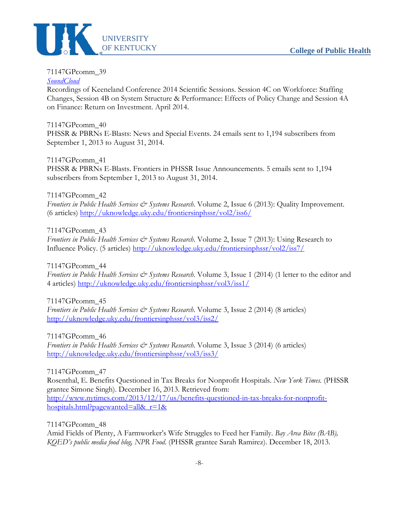

# 71147GPcomm\_39

# *[SoundCloud](https://soundcloud.com/%23phssr)*

Recordings of Keeneland Conference 2014 Scientific Sessions. Session 4C on Workforce: Staffing Changes, Session 4B on System Structure & Performance: Effects of Policy Change and Session 4A on Finance: Return on Investment. April 2014.

# 71147GPcomm\_40

PHSSR & PBRNs E-Blasts: News and Special Events. 24 emails sent to 1,194 subscribers from September 1, 2013 to August 31, 2014.

#### 71147GPcomm\_41

PHSSR & PBRNs E-Blasts. Frontiers in PHSSR Issue Announcements. 5 emails sent to 1,194 subscribers from September 1, 2013 to August 31, 2014.

# 71147GPcomm\_42

*Frontiers in Public Health Services & Systems Research*. Volume 2, Issue 6 (2013): Quality Improvement. (6 articles)<http://uknowledge.uky.edu/frontiersinphssr/vol2/iss6/>

# 71147GPcomm\_43

*Frontiers in Public Health Services & Systems Research*. Volume 2, Issue 7 (2013): Using Research to Influence Policy. (5 articles)<http://uknowledge.uky.edu/frontiersinphssr/vol2/iss7/>

#### 71147GPcomm\_44

*Frontiers in Public Health Services & Systems Research*. Volume 3, Issue 1 (2014) (1 letter to the editor and 4 articles)<http://uknowledge.uky.edu/frontiersinphssr/vol3/iss1/>

# 71147GPcomm\_45

*Frontiers in Public Health Services & Systems Research.* Volume 3, Issue 2 (2014) (8 articles) <http://uknowledge.uky.edu/frontiersinphssr/vol3/iss2/>

#### 71147GPcomm\_46

*Frontiers in Public Health Services & Systems Research.* Volume 3, Issue 3 (2014) (6 articles) <http://uknowledge.uky.edu/frontiersinphssr/vol3/iss3/>

# 71147GPcomm\_47

Rosenthal, E. Benefits Questioned in Tax Breaks for Nonprofit Hospitals. *New York Times.* (PHSSR grantee Simone Singh). December 16, 2013. Retrieved from: [http://www.nytimes.com/2013/12/17/us/benefits-questioned-in-tax-breaks-for-nonprofit](http://www.nytimes.com/2013/12/17/us/benefits-questioned-in-tax-breaks-for-nonprofit-hospitals.html?pagewanted=all&_r=1&)[hospitals.html?pagewanted=all&\\_r=1&](http://www.nytimes.com/2013/12/17/us/benefits-questioned-in-tax-breaks-for-nonprofit-hospitals.html?pagewanted=all&_r=1&)

#### 71147GPcomm\_48

Amid Fields of Plenty, A Farmworker's Wife Struggles to Feed her Family. *Bay Area Bites (BAB), KQED's public media food blog, NPR Food*. (PHSSR grantee Sarah Ramirez). December 18, 2013.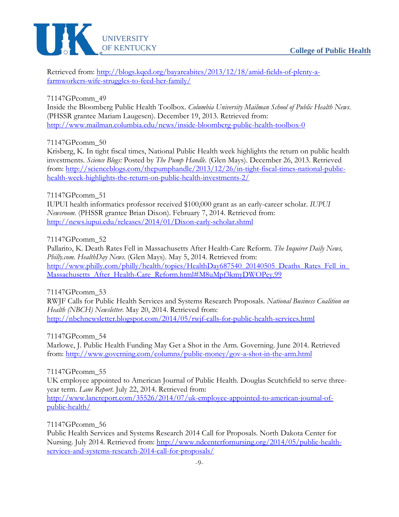

Retrieved from: [http://blogs.kqed.org/bayareabites/2013/12/18/amid-fields-of-plenty-a](http://blogs.kqed.org/bayareabites/2013/12/18/amid-fields-of-plenty-a-farmworkers-wife-struggles-to-feed-her-family/)[farmworkers-wife-struggles-to-feed-her-family/](http://blogs.kqed.org/bayareabites/2013/12/18/amid-fields-of-plenty-a-farmworkers-wife-struggles-to-feed-her-family/)

71147GPcomm\_49

Inside the Bloomberg Public Health Toolbox. *Columbia University Mailman School of Public Health News*. (PHSSR grantee Mariam Laugesen). December 19, 2013. Retrieved from: <http://www.mailman.columbia.edu/news/inside-bloomberg-public-health-toolbox-0>

71147GPcomm\_50

Krisberg, K. In tight fiscal times, National Public Health week highlights the return on public health investments. *Science Blogs:* Posted by *The Pump Handle*. (Glen Mays). December 26, 2013. Retrieved from: [http://scienceblogs.com/thepumphandle/2013/12/26/in-tight-fiscal-times-national-public](http://scienceblogs.com/thepumphandle/2013/12/26/in-tight-fiscal-times-national-public-health-week-highlights-the-return-on-public-health-investments-2/)[health-week-highlights-the-return-on-public-health-investments-2/](http://scienceblogs.com/thepumphandle/2013/12/26/in-tight-fiscal-times-national-public-health-week-highlights-the-return-on-public-health-investments-2/)

71147GPcomm\_51

IUPUI health informatics professor received \$100,000 grant as an early-career scholar. *IUPUI Newsroom.* (PHSSR grantee Brian Dixon). February 7, 2014. Retrieved from: <http://news.iupui.edu/releases/2014/01/Dixon-early-scholar.shtml>

71147GPcomm\_52

Pallarito, K. Death Rates Fell in Massachusetts After Health-Care Reform. *The Inquirer Daily News, Philly.com. HealthDay News*. (Glen Mays). May 5, 2014. Retrieved from: [http://www.philly.com/philly/health/topics/HealthDay687540\\_20140505\\_Deaths\\_Rates\\_Fell\\_in\\_](http://www.philly.com/philly/health/topics/HealthDay687540_20140505_Deaths_Rates_Fell_in_Massachusetts_After_Health-Care_Reform.html%23M8uMpf3kmyDWOPey.99) [Massachusetts\\_After\\_Health-Care\\_Reform.html#M8uMpf3kmyDWOPey.99](http://www.philly.com/philly/health/topics/HealthDay687540_20140505_Deaths_Rates_Fell_in_Massachusetts_After_Health-Care_Reform.html%23M8uMpf3kmyDWOPey.99)

71147GPcomm\_53

RWJF Calls for Public Health Services and Systems Research Proposals. *National Business Coalition on Health (NBCH) Newsletter*. May 20, 2014. Retrieved from: <http://nbchnewsletter.blogspot.com/2014/05/rwjf-calls-for-public-health-services.html>

71147GPcomm\_54

Marlowe, J. Public Health Funding May Get a Shot in the Arm. Governing. June 2014. Retrieved from:<http://www.governing.com/columns/public-money/gov-a-shot-in-the-arm.html>

71147GPcomm\_55

UK employee appointed to American Journal of Public Health. Douglas Scutchfield to serve threeyear term. *Lane Report*. July 22, 2014. Retrieved from:

[http://www.lanereport.com/35526/2014/07/uk-employee-appointed-to-american-journal-of](http://www.lanereport.com/35526/2014/07/uk-employee-appointed-to-american-journal-of-public-health/)[public-health/](http://www.lanereport.com/35526/2014/07/uk-employee-appointed-to-american-journal-of-public-health/)

71147GPcomm\_56

Public Health Services and Systems Research 2014 Call for Proposals. North Dakota Center for Nursing. July 2014. Retrieved from: [http://www.ndcenterfornursing.org/2014/05/public-health](http://www.ndcenterfornursing.org/2014/05/public-health-services-and-systems-research-2014-call-for-proposals/)[services-and-systems-research-2014-call-for-proposals/](http://www.ndcenterfornursing.org/2014/05/public-health-services-and-systems-research-2014-call-for-proposals/)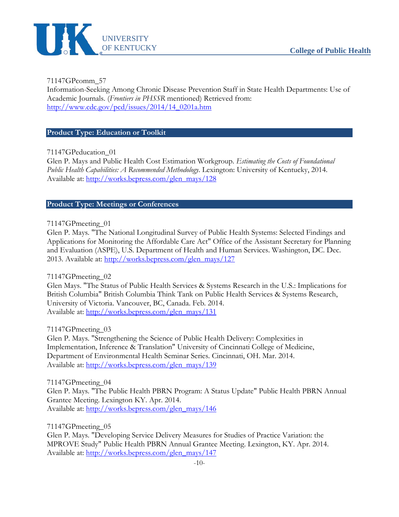

71147GPcomm\_57

Information-Seeking Among Chronic Disease Prevention Staff in State Health Departments: Use of Academic Journals. (*Frontiers in PHSSR* mentioned) Retrieved from: [http://www.cdc.gov/pcd/issues/2014/14\\_0201a.htm](http://www.cdc.gov/pcd/issues/2014/14_0201a.htm)

#### <span id="page-17-0"></span>**Product Type: Education or Toolkit**

71147GPeducation\_01

Glen P. Mays and Public Health Cost Estimation Workgroup. *Estimating the Costs of Foundational Public Health Capabilities: A Recommended Methodology*. Lexington: University of Kentucky, 2014. Available at: [http://works.bepress.com/glen\\_mays/128](http://works.bepress.com/glen_mays/128)

#### <span id="page-17-1"></span>**Product Type: Meetings or Conferences**

#### 71147GPmeeting\_01

Glen P. Mays. "The National Longitudinal Survey of Public Health Systems: Selected Findings and Applications for Monitoring the Affordable Care Act" Office of the Assistant Secretary for Planning and Evaluation (ASPE), U.S. Department of Health and Human Services. Washington, DC. Dec. 2013. Available at: [http://works.bepress.com/glen\\_mays/127](http://works.bepress.com/glen_mays/127)

#### 71147GPmeeting\_02

Glen Mays. "The Status of Public Health Services & Systems Research in the U.S.: Implications for British Columbia" British Columbia Think Tank on Public Health Services & Systems Research, University of Victoria. Vancouver, BC, Canada. Feb. 2014. Available at: [http://works.bepress.com/glen\\_mays/131](http://works.bepress.com/glen_mays/131)

#### 71147GPmeeting\_03

Glen P. Mays. "Strengthening the Science of Public Health Delivery: Complexities in Implementation, Inference & Translation" University of Cincinnati College of Medicine, Department of Environmental Health Seminar Series. Cincinnati, OH. Mar. 2014. Available at: [http://works.bepress.com/glen\\_mays/139](http://works.bepress.com/glen_mays/139)

#### 71147GPmeeting\_04

Glen P. Mays. "The Public Health PBRN Program: A Status Update" Public Health PBRN Annual Grantee Meeting. Lexington KY. Apr. 2014. Available at: [http://works.bepress.com/glen\\_mays/146](http://works.bepress.com/glen_mays/146)

71147GPmeeting\_05

Glen P. Mays. "Developing Service Delivery Measures for Studies of Practice Variation: the MPROVE Study" Public Health PBRN Annual Grantee Meeting. Lexington, KY. Apr. 2014. Available at: [http://works.bepress.com/glen\\_mays/147](http://works.bepress.com/glen_mays/147)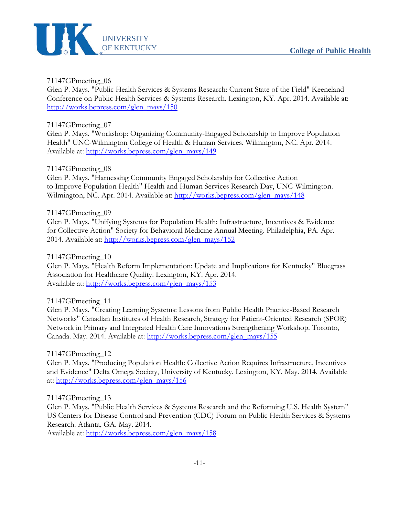

Glen P. Mays. "Public Health Services & Systems Research: Current State of the Field" Keeneland Conference on Public Health Services & Systems Research. Lexington, KY. Apr. 2014. Available at: [http://works.bepress.com/glen\\_mays/150](http://works.bepress.com/glen_mays/150)

#### 71147GPmeeting\_07

Glen P. Mays. "Workshop: Organizing Community-Engaged Scholarship to Improve Population Health" UNC-Wilmington College of Health & Human Services. Wilmington, NC. Apr. 2014. Available at: [http://works.bepress.com/glen\\_mays/149](http://works.bepress.com/glen_mays/149)

# 71147GPmeeting\_08

Glen P. Mays. "Harnessing Community Engaged Scholarship for Collective Action to Improve Population Health" Health and Human Services Research Day, UNC-Wilmington. Wilmington, NC. Apr. 2014. Available at: [http://works.bepress.com/glen\\_mays/148](http://works.bepress.com/glen_mays/148)

#### 71147GPmeeting\_09

Glen P. Mays. "Unifying Systems for Population Health: Infrastructure, Incentives & Evidence for Collective Action" Society for Behavioral Medicine Annual Meeting. Philadelphia, PA. Apr. 2014. Available at: [http://works.bepress.com/glen\\_mays/152](http://works.bepress.com/glen_mays/152)

#### 71147GPmeeting\_10

Glen P. Mays. "Health Reform Implementation: Update and Implications for Kentucky" Bluegrass Association for Healthcare Quality. Lexington, KY. Apr. 2014. Available at: [http://works.bepress.com/glen\\_mays/153](http://works.bepress.com/glen_mays/153)

# 71147GPmeeting\_11

Glen P. Mays. "Creating Learning Systems: Lessons from Public Health Practice-Based Research Networks" Canadian Institutes of Health Research, Strategy for Patient-Oriented Research (SPOR) Network in Primary and Integrated Health Care Innovations Strengthening Workshop. Toronto, Canada. May. 2014. Available at: [http://works.bepress.com/glen\\_mays/155](http://works.bepress.com/glen_mays/155)

#### 71147GPmeeting\_12

Glen P. Mays. "Producing Population Health: Collective Action Requires Infrastructure, Incentives and Evidence" Delta Omega Society, University of Kentucky. Lexington, KY. May. 2014. Available at: [http://works.bepress.com/glen\\_mays/156](http://works.bepress.com/glen_mays/156)

#### 71147GPmeeting\_13

Glen P. Mays. "Public Health Services & Systems Research and the Reforming U.S. Health System" US Centers for Disease Control and Prevention (CDC) Forum on Public Health Services & Systems Research. Atlanta, GA. May. 2014.

Available at: [http://works.bepress.com/glen\\_mays/158](http://works.bepress.com/glen_mays/158)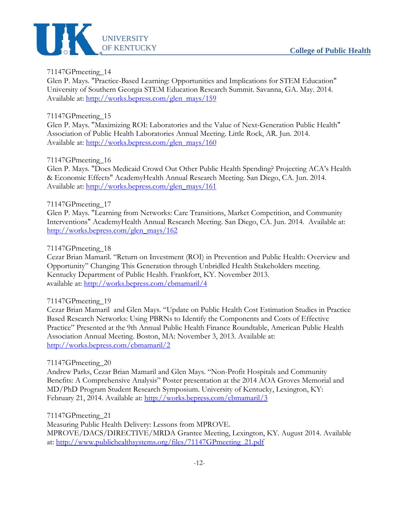

Glen P. Mays. "Practice-Based Learning: Opportunities and Implications for STEM Education" University of Southern Georgia STEM Education Research Summit. Savanna, GA. May. 2014. Available at: [http://works.bepress.com/glen\\_mays/159](http://works.bepress.com/glen_mays/159)

# 71147GPmeeting\_15

Glen P. Mays. "Maximizing ROI: Laboratories and the Value of Next-Generation Public Health" Association of Public Health Laboratories Annual Meeting. Little Rock, AR. Jun. 2014. Available at: [http://works.bepress.com/glen\\_mays/160](http://works.bepress.com/glen_mays/160)

# 71147GPmeeting\_16

Glen P. Mays. "Does Medicaid Crowd Out Other Public Health Spending? Projecting ACA's Health & Economic Effects" AcademyHealth Annual Research Meeting. San Diego, CA. Jun. 2014. Available at: [http://works.bepress.com/glen\\_mays/161](http://works.bepress.com/glen_mays/161)

# 71147GPmeeting\_17

Glen P. Mays. "Learning from Networks: Care Transitions, Market Competition, and Community Interventions" AcademyHealth Annual Research Meeting. San Diego, CA. Jun. 2014. Available at: [http://works.bepress.com/glen\\_mays/162](http://works.bepress.com/glen_mays/162)

#### 71147GPmeeting\_18

Cezar Brian Mamaril. "Return on Investment (ROI) in Prevention and Public Health: Overview and Opportunity" Changing This Generation through Unbridled Health Stakeholders meeting. Kentucky Department of Public Health. Frankfort, KY. November 2013. <sup>A</sup>vailable at:<http://works.bepress.com/cbmamaril/4>

# 71147GPmeeting\_19

Cezar Brian Mamaril and Glen Mays. "Update on Public Health Cost Estimation Studies in Practice Based Research Networks: Using PBRNs to Identify the Components and Costs of Effective Practice" Presented at the 9th Annual Public Health Finance Roundtable, American Public Health Association Annual Meeting. Boston, MA: November 3, 2013. Available at: <http://works.bepress.com/cbmamaril/2>

#### 71147GPmeeting\_20

Andrew Parks, Cezar Brian Mamaril and Glen Mays. "Non-Profit Hospitals and Community Benefits: A Comprehensive Analysis" Poster presentation at the 2014 AOA Groves Memorial and MD/PhD Program Student Research Symposium. University of Kentucky, Lexington, KY: February 21, 2014. Available at:<http://works.bepress.com/cbmamaril/3>

71147GPmeeting\_21

Measuring Public Health Delivery: Lessons from MPROVE. MPROVE/DACS/DIRECTIVE/MRDA Grantee Meeting, Lexington, KY. August 2014. Available at: [http://www.publichealthsystems.org/files/71147GPmeeting\\_21.pdf](http://www.publichealthsystems.org/files/71147GPmeeting_21.pdf)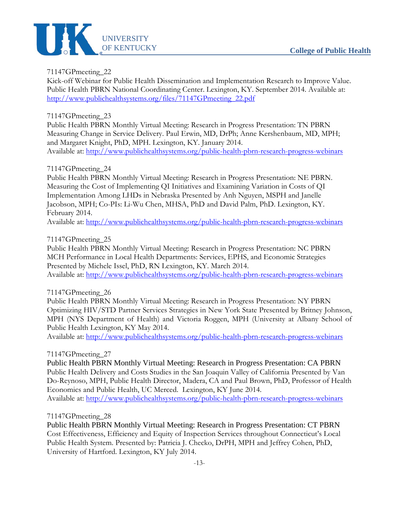

Kick-off Webinar for Public Health Dissemination and Implementation Research to Improve Value. Public Health PBRN National Coordinating Center. Lexington, KY. September 2014. Available at: [http://www.publichealthsystems.org/files/71147GPmeeting\\_22.pdf](http://www.publichealthsystems.org/files/71147GPmeeting_22.pdf)

# 71147GPmeeting\_23

Public Health PBRN Monthly Virtual Meeting: Research in Progress Presentation: TN PBRN Measuring Change in Service Delivery. Paul Erwin, MD, DrPh; Anne Kershenbaum, MD, MPH; and Margaret Knight, PhD, MPH. Lexington, KY. January 2014. Available at:<http://www.publichealthsystems.org/public-health-pbrn-research-progress-webinars>

# 71147GPmeeting\_24

Public Health PBRN Monthly Virtual Meeting: Research in Progress Presentation: NE PBRN. Measuring the Cost of Implementing QI Initiatives and Examining Variation in Costs of QI Implementation Among LHDs in Nebraska Presented by Anh Nguyen, MSPH and Janelle Jacobson, MPH; Co-PIs: Li-Wu Chen, MHSA, PhD and David Palm, PhD. Lexington, KY. February 2014.

Available at:<http://www.publichealthsystems.org/public-health-pbrn-research-progress-webinars>

# 71147GPmeeting\_25

Public Health PBRN Monthly Virtual Meeting: Research in Progress Presentation: NC PBRN MCH Performance in Local Health Departments: Services, EPHS, and Economic Strategies Presented by Michele Issel, PhD, RN Lexington, KY. March 2014. Available at:<http://www.publichealthsystems.org/public-health-pbrn-research-progress-webinars>

# 71147GPmeeting\_26

Public Health PBRN Monthly Virtual Meeting: Research in Progress Presentation: NY PBRN Optimizing HIV/STD Partner Services Strategies in New York State Presented by Britney Johnson, MPH (NYS Department of Health) and Victoria Roggen, MPH (University at Albany School of Public Health Lexington, KY May 2014.

Available at:<http://www.publichealthsystems.org/public-health-pbrn-research-progress-webinars>

# 71147GPmeeting\_27

Public Health PBRN Monthly Virtual Meeting: Research in Progress Presentation: CA PBRN Public Health Delivery and Costs Studies in the San Joaquin Valley of California Presented by Van Do-Reynoso, MPH, Public Health Director, Madera, CA and Paul Brown, PhD, Professor of Health Economics and Public Health, UC Merced. Lexington, KY June 2014. Available at:<http://www.publichealthsystems.org/public-health-pbrn-research-progress-webinars>

#### 71147GPmeeting\_28

Public Health PBRN Monthly Virtual Meeting: Research in Progress Presentation: CT PBRN Cost Effectiveness, Efficiency and Equity of Inspection Services throughout Connecticut's Local Public Health System. Presented by: Patricia J. Checko, DrPH, MPH and Jeffrey Cohen, PhD, University of Hartford. Lexington, KY July 2014.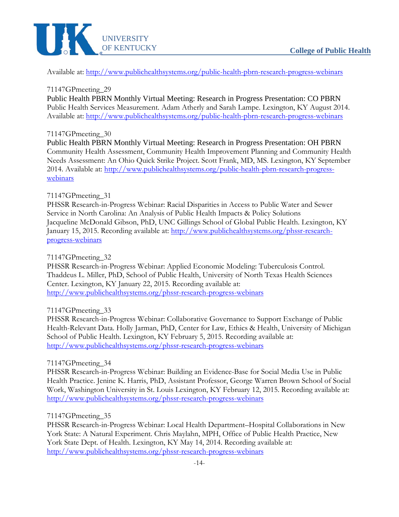

Available at:<http://www.publichealthsystems.org/public-health-pbrn-research-progress-webinars>

71147GPmeeting\_29

Public Health PBRN Monthly Virtual Meeting: Research in Progress Presentation: CO PBRN Public Health Services Measurement. Adam Atherly and Sarah Lampe. Lexington, KY August 2014. Available at:<http://www.publichealthsystems.org/public-health-pbrn-research-progress-webinars>

# 71147GPmeeting\_30

Public Health PBRN Monthly Virtual Meeting: Research in Progress Presentation: OH PBRN Community Health Assessment, Community Health Improvement Planning and Community Health Needs Assessment: An Ohio Quick Strike Project. Scott Frank, MD, MS. Lexington, KY September 2014. Available at: [http://www.publichealthsystems.org/public-health-pbrn-research-progress](http://www.publichealthsystems.org/public-health-pbrn-research-progress-webinars)[webinars](http://www.publichealthsystems.org/public-health-pbrn-research-progress-webinars)

#### 71147GPmeeting\_31

PHSSR Research-in-Progress Webinar: Racial Disparities in Access to Public Water and Sewer Service in North Carolina: An Analysis of Public Health Impacts & Policy Solutions Jacqueline McDonald Gibson, PhD, UNC Gillings School of Global Public Health. Lexington, KY January 15, 2015. Recording available at: [http://www.publichealthsystems.org/phssr-research](http://www.publichealthsystems.org/phssr-research-progress-webinars)[progress-webinars](http://www.publichealthsystems.org/phssr-research-progress-webinars)

71147GPmeeting\_32

PHSSR Research-in-Progress Webinar: Applied Economic Modeling: Tuberculosis Control. Thaddeus L. Miller, PhD, School of Public Health, University of North Texas Health Sciences Center. Lexington, KY January 22, 2015. Recording available at: <http://www.publichealthsystems.org/phssr-research-progress-webinars>

#### 71147GPmeeting\_33

PHSSR Research-in-Progress Webinar: Collaborative Governance to Support Exchange of Public Health-Relevant Data. Holly Jarman, PhD, Center for Law, Ethics & Health, University of Michigan School of Public Health. Lexington, KY February 5, 2015. Recording available at: <http://www.publichealthsystems.org/phssr-research-progress-webinars>

#### 71147GPmeeting\_34

PHSSR Research-in-Progress Webinar: Building an Evidence-Base for Social Media Use in Public Health Practice. Jenine K. Harris, PhD, Assistant Professor, George Warren Brown School of Social Work, Washington University in St. Louis Lexington, KY February 12, 2015. Recording available at: <http://www.publichealthsystems.org/phssr-research-progress-webinars>

#### 71147GPmeeting\_35

PHSSR Research-in-Progress Webinar: Local Health Department–Hospital Collaborations in New York State: A Natural Experiment. Chris Maylahn, MPH, Office of Public Health Practice, New York State Dept. of Health. Lexington, KY May 14, 2014. Recording available at: <http://www.publichealthsystems.org/phssr-research-progress-webinars>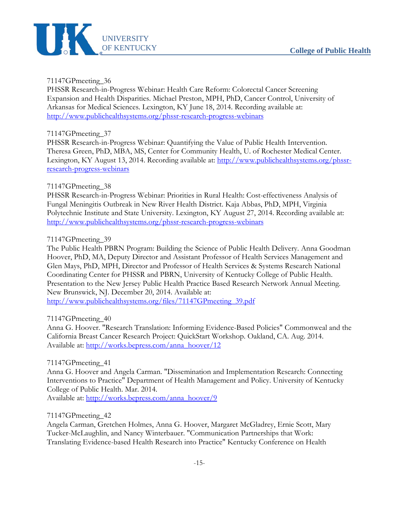

PHSSR Research-in-Progress Webinar: Health Care Reform: Colorectal Cancer Screening Expansion and Health Disparities. Michael Preston, MPH, PhD, Cancer Control, University of Arkansas for Medical Sciences. Lexington, KY June 18, 2014. Recording available at: <http://www.publichealthsystems.org/phssr-research-progress-webinars>

#### 71147GPmeeting\_37

PHSSR Research-in-Progress Webinar: Quantifying the Value of Public Health Intervention. Theresa Green, PhD, MBA, MS, Center for Community Health, U. of Rochester Medical Center. Lexington, KY August 13, 2014. Recording available at: [http://www.publichealthsystems.org/phssr](http://www.publichealthsystems.org/phssr-research-progress-webinars)[research-progress-webinars](http://www.publichealthsystems.org/phssr-research-progress-webinars)

#### 71147GPmeeting\_38

PHSSR Research-in-Progress Webinar: Priorities in Rural Health: Cost-effectiveness Analysis of Fungal Meningitis Outbreak in New River Health District. Kaja Abbas, PhD, MPH, Virginia Polytechnic Institute and State University. Lexington, KY August 27, 2014. Recording available at: <http://www.publichealthsystems.org/phssr-research-progress-webinars>

#### 71147GPmeeting\_39

The Public Health PBRN Program: Building the Science of Public Health Delivery. Anna Goodman Hoover, PhD, MA, Deputy Director and Assistant Professor of Health Services Management and Glen Mays, PhD, MPH, Director and Professor of Health Services & Systems Research National Coordinating Center for PHSSR and PBRN, University of Kentucky College of Public Health. Presentation to the New Jersey Public Health Practice Based Research Network Annual Meeting. New Brunswick, NJ. December 20, 2014. Available at:

[http://www.publichealthsystems.org/files/71147GPmeeting\\_39.pdf](http://www.publichealthsystems.org/files/71147GPmeeting_39.pdf)

71147GPmeeting\_40

Anna G. Hoover. "Research Translation: Informing Evidence-Based Policies" Commonweal and the California Breast Cancer Research Project: QuickStart Workshop. Oakland, CA. Aug. 2014. Available at: [http://works.bepress.com/anna\\_hoover/12](http://works.bepress.com/anna_hoover/12)

#### 71147GPmeeting\_41

Anna G. Hoover and Angela Carman. "Dissemination and Implementation Research: Connecting Interventions to Practice" Department of Health Management and Policy. University of Kentucky College of Public Health. Mar. 2014.

Available at: [http://works.bepress.com/anna\\_hoover/9](http://works.bepress.com/anna_hoover/9)

71147GPmeeting\_42

Angela Carman, Gretchen Holmes, Anna G. Hoover, Margaret McGladrey, Ernie Scott, Mary Tucker-McLaughlin, and Nancy Winterbauer. "Communication Partnerships that Work: Translating Evidence-based Health Research into Practice" Kentucky Conference on Health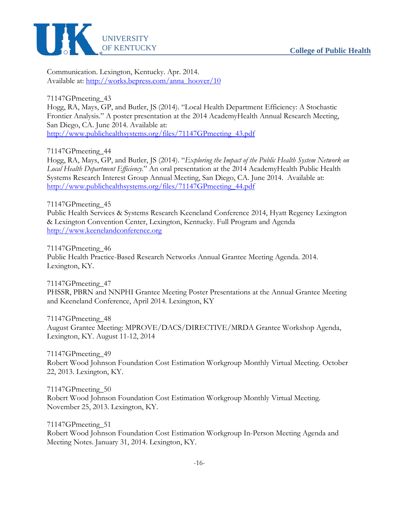

Communication. Lexington, Kentucky. Apr. 2014. Available at: [http://works.bepress.com/anna\\_hoover/10](http://works.bepress.com/anna_hoover/10)

71147GPmeeting\_43

Hogg, RA, Mays, GP, and Butler, JS (2014). "Local Health Department Efficiency: A Stochastic Frontier Analysis." A poster presentation at the 2014 AcademyHealth Annual Research Meeting, San Diego, CA. June 2014. Available at: [http://www.publichealthsystems.org/files/71147GPmeeting\\_43.pdf](http://www.publichealthsystems.org/files/71147GPmeeting_43.pdf)

71147GPmeeting\_44

Hogg, RA, Mays, GP, and Butler, JS (2014). "*Exploring the Impact of the Public Health System Network on Local Health Department Efficiency.*" An oral presentation at the 2014 AcademyHealth Public Health Systems Research Interest Group Annual Meeting, San Diego, CA. June 2014. Available at: [http://www.publichealthsystems.org/files/71147GPmeeting\\_44.pdf](http://www.publichealthsystems.org/files/71147GPmeeting_44.pdf)

71147GPmeeting\_45 Public Health Services & Systems Research Keeneland Conference 2014, Hyatt Regency Lexington & Lexington Convention Center, Lexington, Kentucky. Full Program and Agenda [http://www.keenelandconference.org](http://www.keenelandconference.org/)

71147GPmeeting\_46 Public Health Practice-Based Research Networks Annual Grantee Meeting Agenda. 2014. Lexington, KY.

71147GPmeeting\_47 PHSSR, PBRN and NNPHI Grantee Meeting Poster Presentations at the Annual Grantee Meeting and Keeneland Conference, April 2014. Lexington, KY

71147GPmeeting\_48 August Grantee Meeting: MPROVE/DACS/DIRECTIVE/MRDA Grantee Workshop Agenda, Lexington, KY. August 11-12, 2014

71147GPmeeting\_49 Robert Wood Johnson Foundation Cost Estimation Workgroup Monthly Virtual Meeting. October 22, 2013. Lexington, KY.

71147GPmeeting\_50 Robert Wood Johnson Foundation Cost Estimation Workgroup Monthly Virtual Meeting. November 25, 2013. Lexington, KY.

71147GPmeeting\_51 Robert Wood Johnson Foundation Cost Estimation Workgroup In-Person Meeting Agenda and Meeting Notes. January 31, 2014. Lexington, KY.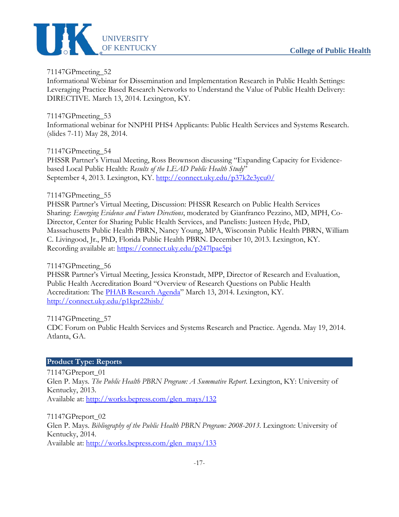

Informational Webinar for Dissemination and Implementation Research in Public Health Settings: Leveraging Practice Based Research Networks to Understand the Value of Public Health Delivery: DIRECTIVE. March 13, 2014. Lexington, KY.

# 71147GPmeeting\_53

Informational webinar for NNPHI PHS4 Applicants: Public Health Services and Systems Research. (slides 7-11) May 28, 2014.

# 71147GPmeeting\_54

PHSSR Partner's Virtual Meeting, Ross Brownson discussing "Expanding Capacity for Evidencebased Local Public Health: *Results of the LEAD Public Health Study*" September 4, 2013. Lexington, KY.<http://connect.uky.edu/p37k2e3ycu0/>

# 71147GPmeeting\_55

PHSSR Partner's Virtual Meeting, Discussion: PHSSR Research on Public Health Services Sharing: *Emerging Evidence and Future Directions*, moderated by Gianfranco Pezzino, MD, MPH, Co-Director, Center for Sharing Public Health Services, and Panelists: Justeen Hyde, PhD, Massachusetts Public Health PBRN, Nancy Young, MPA, Wisconsin Public Health PBRN, William C. Livingood, Jr., PhD, Florida Public Health PBRN. December 10, 2013. Lexington, KY. Recording available at:<https://connect.uky.edu/p247lpae5pi>

# 71147GPmeeting\_56

PHSSR Partner's Virtual Meeting, Jessica Kronstadt, MPP, Director of Research and Evaluation, Public Health Accreditation Board "Overview of Research Questions on Public Health Accreditation: The [PHAB Research Agenda"](http://www.phaboard.org/wp-content/uploads/Research-agenda-December2013.pdf) March 13, 2014. Lexington, KY. <http://connect.uky.edu/p1kpr22hisb/>

71147GPmeeting\_57

CDC Forum on Public Health Services and Systems Research and Practice. Agenda. May 19, 2014. Atlanta, GA.

#### <span id="page-24-0"></span>**Product Type: Reports**

71147GPreport\_01 Glen P. Mays. *The Public Health PBRN Program: A Summative Report*. Lexington, KY: University of Kentucky, 2013. Available at: [http://works.bepress.com/glen\\_mays/132](http://works.bepress.com/glen_mays/132)

71147GPreport\_02 Glen P. Mays. *Bibliography of the Public Health PBRN Program: 2008-2013.* Lexington: University of Kentucky, 2014. Available at: [http://works.bepress.com/glen\\_mays/133](http://works.bepress.com/glen_mays/133)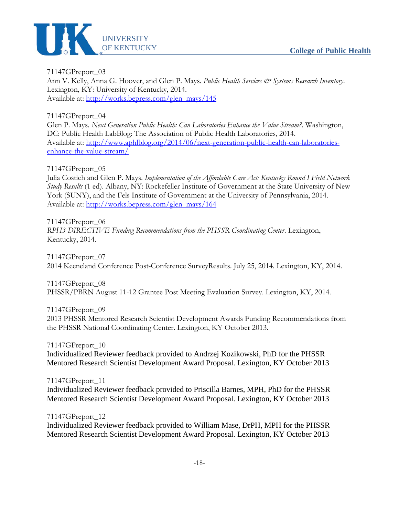

71147GPreport\_03 Ann V. Kelly, Anna G. Hoover, and Glen P. Mays. *Public Health Services & Systems Research Inventory*. Lexington, KY: University of Kentucky, 2014. Available at: [http://works.bepress.com/glen\\_mays/145](http://works.bepress.com/glen_mays/145)

71147GPreport\_04

Glen P. Mays. *Next Generation Public Health: Can Laboratories Enhance the Value Stream?*. Washington, DC: Public Health LabBlog: The Association of Public Health Laboratories, 2014. Available at: [http://www.aphlblog.org/2014/06/next-generation-public-health-can-laboratories](http://www.aphlblog.org/2014/06/next-generation-public-health-can-laboratories-enhance-the-value-stream/)[enhance-the-value-stream/](http://www.aphlblog.org/2014/06/next-generation-public-health-can-laboratories-enhance-the-value-stream/)

71147GPreport\_05

Julia Costich and Glen P. Mays. *Implementation of the Affordable Care Act: Kentucky Round I Field Network Study Results* (1 ed). Albany, NY: Rockefeller Institute of Government at the State University of New York (SUNY), and the Fels Institute of Government at the University of Pennsylvania, 2014. Available at: [http://works.bepress.com/glen\\_mays/164](http://works.bepress.com/glen_mays/164)

71147GPreport\_06

*RPH3 DIRECTIVE Funding Recommendations from the PHSSR Coordinating Center. Lexington,* Kentucky, 2014.

71147GPreport\_07 2014 Keeneland Conference Post-Conference SurveyResults. July 25, 2014. Lexington, KY, 2014.

71147GPreport\_08 PHSSR/PBRN August 11-12 Grantee Post Meeting Evaluation Survey. Lexington, KY, 2014.

71147GPreport\_09 2013 PHSSR Mentored Research Scientist Development Awards Funding Recommendations from the PHSSR National Coordinating Center. Lexington, KY October 2013.

71147GPreport\_10 Individualized Reviewer feedback provided to Andrzej Kozikowski, PhD for the PHSSR Mentored Research Scientist Development Award Proposal. Lexington, KY October 2013

71147GPreport\_11 Individualized Reviewer feedback provided to Priscilla Barnes, MPH, PhD for the PHSSR Mentored Research Scientist Development Award Proposal. Lexington, KY October 2013

71147GPreport\_12

Individualized Reviewer feedback provided to William Mase, DrPH, MPH for the PHSSR Mentored Research Scientist Development Award Proposal. Lexington, KY October 2013